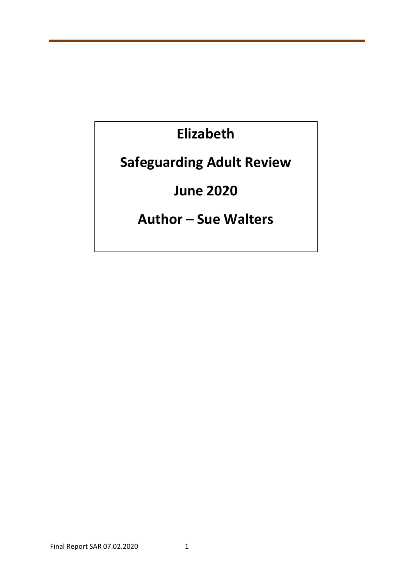# **Elizabeth**

# **Safeguarding Adult Review**

# **June 2020**

# **Author – Sue Walters**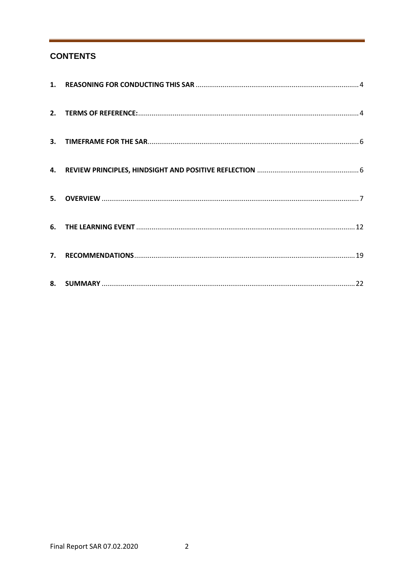# **CONTENTS**

| 7. |  |
|----|--|
|    |  |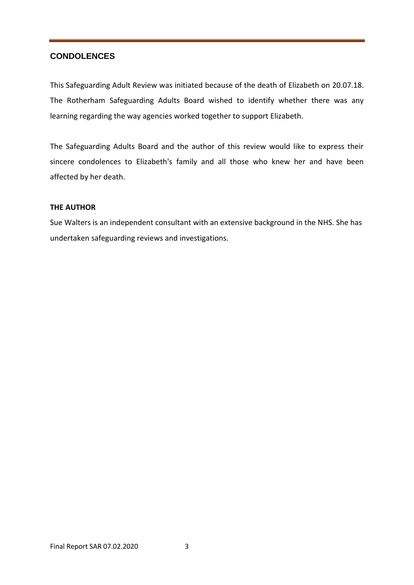# **CONDOLENCES**

This Safeguarding Adult Review was initiated because of the death of Elizabeth on 20.07.18. The Rotherham Safeguarding Adults Board wished to identify whether there was any learning regarding the way agencies worked together to support Elizabeth.

The Safeguarding Adults Board and the author of this review would like to express their sincere condolences to Elizabeth's family and all those who knew her and have been affected by her death.

# **THE AUTHOR**

Sue Walters is an independent consultant with an extensive background in the NHS. She has undertaken safeguarding reviews and investigations.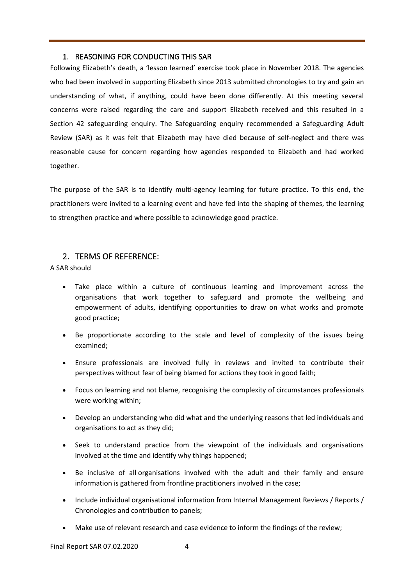# 1. REASONING FOR CONDUCTING THIS SAR

Following Elizabeth's death, a 'lesson learned' exercise took place in November 2018. The agencies who had been involved in supporting Elizabeth since 2013 submitted chronologies to try and gain an understanding of what, if anything, could have been done differently. At this meeting several concerns were raised regarding the care and support Elizabeth received and this resulted in a Section 42 safeguarding enquiry. The Safeguarding enquiry recommended a Safeguarding Adult Review (SAR) as it was felt that Elizabeth may have died because of self-neglect and there was reasonable cause for concern regarding how agencies responded to Elizabeth and had worked together.

The purpose of the SAR is to identify multi-agency learning for future practice. To this end, the practitioners were invited to a learning event and have fed into the shaping of themes, the learning to strengthen practice and where possible to acknowledge good practice.

# 2. TERMS OF REFERENCE:

A SAR should

- Take place within a culture of continuous learning and improvement across the organisations that work together to safeguard and promote the wellbeing and empowerment of adults, identifying opportunities to draw on what works and promote good practice;
- Be proportionate according to the scale and level of complexity of the issues being examined;
- Ensure professionals are involved fully in reviews and invited to contribute their perspectives without fear of being blamed for actions they took in good faith;
- Focus on learning and not blame, recognising the complexity of circumstances professionals were working within;
- Develop an understanding who did what and the underlying reasons that led individuals and organisations to act as they did;
- Seek to understand practice from the viewpoint of the individuals and organisations involved at the time and identify why things happened;
- Be inclusive of all organisations involved with the adult and their family and ensure information is gathered from frontline practitioners involved in the case;
- Include individual organisational information from Internal Management Reviews / Reports / Chronologies and contribution to panels;
- Make use of relevant research and case evidence to inform the findings of the review;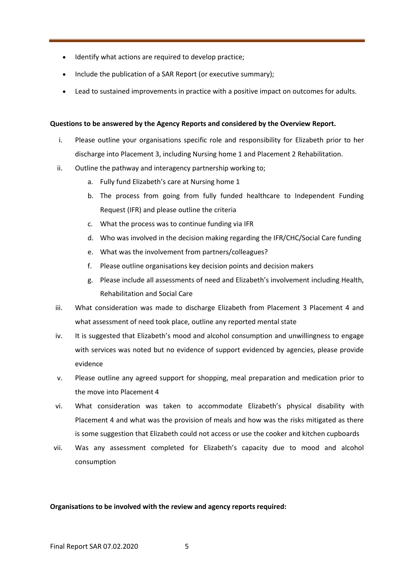- Identify what actions are required to develop practice;
- Include the publication of a SAR Report (or executive summary);
- Lead to sustained improvements in practice with a positive impact on outcomes for adults.

### **Questions to be answered by the Agency Reports and considered by the Overview Report.**

- i. Please outline your organisations specific role and responsibility for Elizabeth prior to her discharge into Placement 3, including Nursing home 1 and Placement 2 Rehabilitation.
- ii. Outline the pathway and interagency partnership working to;
	- a. Fully fund Elizabeth's care at Nursing home 1
	- b. The process from going from fully funded healthcare to Independent Funding Request (IFR) and please outline the criteria
	- c. What the process was to continue funding via IFR
	- d. Who was involved in the decision making regarding the IFR/CHC/Social Care funding
	- e. What was the involvement from partners/colleagues?
	- f. Please outline organisations key decision points and decision makers
	- g. Please include all assessments of need and Elizabeth's involvement including Health, Rehabilitation and Social Care
- iii. What consideration was made to discharge Elizabeth from Placement 3 Placement 4 and what assessment of need took place, outline any reported mental state
- iv. It is suggested that Elizabeth's mood and alcohol consumption and unwillingness to engage with services was noted but no evidence of support evidenced by agencies, please provide evidence
- v. Please outline any agreed support for shopping, meal preparation and medication prior to the move into Placement 4
- vi. What consideration was taken to accommodate Elizabeth's physical disability with Placement 4 and what was the provision of meals and how was the risks mitigated as there is some suggestion that Elizabeth could not access or use the cooker and kitchen cupboards
- vii. Was any assessment completed for Elizabeth's capacity due to mood and alcohol consumption

#### **Organisations to be involved with the review and agency reports required:**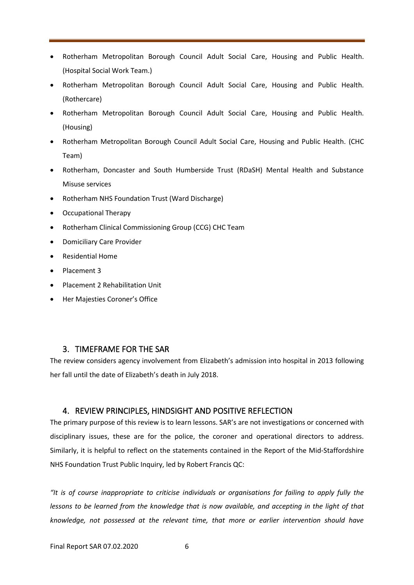- Rotherham Metropolitan Borough Council Adult Social Care, Housing and Public Health. (Hospital Social Work Team.)
- Rotherham Metropolitan Borough Council Adult Social Care, Housing and Public Health. (Rothercare)
- Rotherham Metropolitan Borough Council Adult Social Care, Housing and Public Health. (Housing)
- Rotherham Metropolitan Borough Council Adult Social Care, Housing and Public Health. (CHC Team)
- Rotherham, Doncaster and South Humberside Trust (RDaSH) Mental Health and Substance Misuse services
- Rotherham NHS Foundation Trust (Ward Discharge)
- Occupational Therapy
- Rotherham Clinical Commissioning Group (CCG) CHC Team
- Domiciliary Care Provider
- Residential Home
- Placement 3
- Placement 2 Rehabilitation Unit
- Her Majesties Coroner's Office

# 3. TIMEFRAME FOR THE SAR

The review considers agency involvement from Elizabeth's admission into hospital in 2013 following her fall until the date of Elizabeth's death in July 2018.

# 4. REVIEW PRINCIPLES, HINDSIGHT AND POSITIVE REFLECTION

The primary purpose of this review is to learn lessons. SAR's are not investigations or concerned with disciplinary issues, these are for the police, the coroner and operational directors to address. Similarly, it is helpful to reflect on the statements contained in the Report of the Mid-Staffordshire NHS Foundation Trust Public Inquiry, led by Robert Francis QC:

*"It is of course inappropriate to criticise individuals or organisations for failing to apply fully the lessons to be learned from the knowledge that is now available, and accepting in the light of that knowledge, not possessed at the relevant time, that more or earlier intervention should have*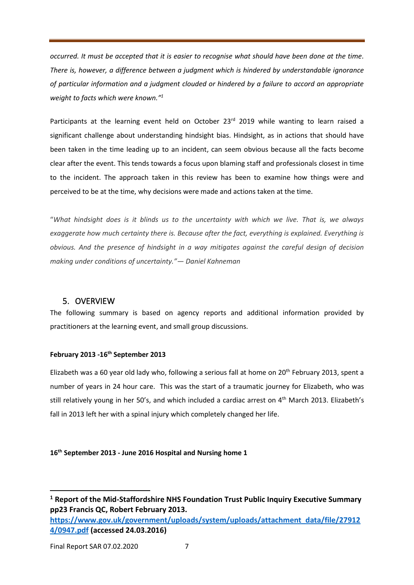*occurred. It must be accepted that it is easier to recognise what should have been done at the time. There is, however, a difference between a judgment which is hindered by understandable ignorance of particular information and a judgment clouded or hindered by a failure to accord an appropriate weight to facts which were known."<sup>1</sup>*

Participants at the learning event held on October 23<sup>rd</sup> 2019 while wanting to learn raised a significant challenge about understanding hindsight bias. Hindsight, as in actions that should have been taken in the time leading up to an incident, can seem obvious because all the facts become clear after the event. This tends towards a focus upon blaming staff and professionals closest in time to the incident. The approach taken in this review has been to examine how things were and perceived to be at the time, why decisions were made and actions taken at the time.

"*What hindsight does is it blinds us to the uncertainty with which we live. That is, we always exaggerate how much certainty there is. Because after the fact, everything is explained. Everything is obvious. And the presence of hindsight in a way mitigates against the careful design of decision making under conditions of uncertainty."— Daniel Kahneman*

# 5. OVERVIEW

The following summary is based on agency reports and additional information provided by practitioners at the learning event, and small group discussions.

# **February 2013 -16th September 2013**

Elizabeth was a 60 year old lady who, following a serious fall at home on 20<sup>th</sup> February 2013, spent a number of years in 24 hour care. This was the start of a traumatic journey for Elizabeth, who was still relatively young in her 50's, and which included a cardiac arrest on 4<sup>th</sup> March 2013. Elizabeth's fall in 2013 left her with a spinal injury which completely changed her life.

# **16th September 2013 - June 2016 Hospital and Nursing home 1**

**<sup>1</sup> Report of the Mid-Staffordshire NHS Foundation Trust Public Inquiry Executive Summary pp23 Francis QC, Robert February 2013. [https://www.gov.uk/government/uploads/system/uploads/attachment\\_data/file/27912](https://www.gov.uk/government/uploads/system/uploads/attachment_data/file/279124/0947.pdf) [4/0947.pdf](https://www.gov.uk/government/uploads/system/uploads/attachment_data/file/279124/0947.pdf) (accessed 24.03.2016)**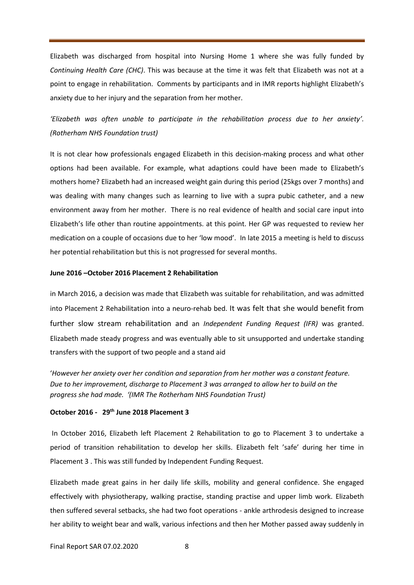Elizabeth was discharged from hospital into Nursing Home 1 where she was fully funded by *Continuing Health Care (CHC)*. This was because at the time it was felt that Elizabeth was not at a point to engage in rehabilitation. Comments by participants and in IMR reports highlight Elizabeth's anxiety due to her injury and the separation from her mother.

# *'Elizabeth was often unable to participate in the rehabilitation process due to her anxiety'. (Rotherham NHS Foundation trust)*

It is not clear how professionals engaged Elizabeth in this decision-making process and what other options had been available. For example, what adaptions could have been made to Elizabeth's mothers home? Elizabeth had an increased weight gain during this period (25kgs over 7 months) and was dealing with many changes such as learning to live with a supra pubic catheter, and a new environment away from her mother. There is no real evidence of health and social care input into Elizabeth's life other than routine appointments. at this point. Her GP was requested to review her medication on a couple of occasions due to her 'low mood'. In late 2015 a meeting is held to discuss her potential rehabilitation but this is not progressed for several months.

#### **June 2016 –October 2016 Placement 2 Rehabilitation**

in March 2016, a decision was made that Elizabeth was suitable for rehabilitation, and was admitted into Placement 2 Rehabilitation into a neuro-rehab bed. It was felt that she would benefit from further slow stream rehabilitation and an *Independent Funding Request (IFR)* was granted. Elizabeth made steady progress and was eventually able to sit unsupported and undertake standing transfers with the support of two people and a stand aid

'*However her anxiety over her condition and separation from her mother was a constant feature. Due to her improvement, discharge to Placement 3 was arranged to allow her to build on the progress she had made. '(IMR The Rotherham NHS Foundation Trust)*

# **October 2016 - 29th June 2018 Placement 3**

In October 2016, Elizabeth left Placement 2 Rehabilitation to go to Placement 3 to undertake a period of transition rehabilitation to develop her skills. Elizabeth felt 'safe' during her time in Placement 3 . This was still funded by Independent Funding Request.

Elizabeth made great gains in her daily life skills, mobility and general confidence. She engaged effectively with physiotherapy, walking practise, standing practise and upper limb work. Elizabeth then suffered several setbacks, she had two foot operations - ankle arthrodesis designed to increase her ability to weight bear and walk, various infections and then her Mother passed away suddenly in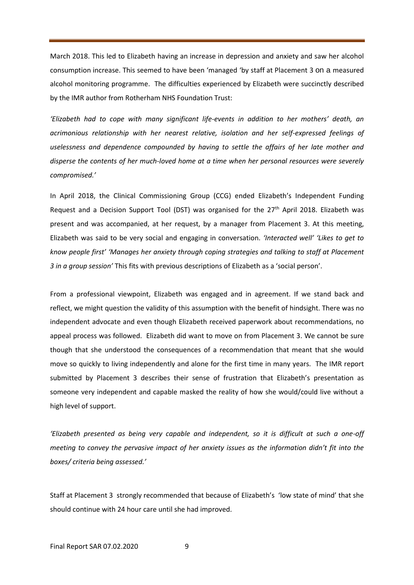March 2018. This led to Elizabeth having an increase in depression and anxiety and saw her alcohol consumption increase. This seemed to have been 'managed 'by staff at Placement 3 on a measured alcohol monitoring programme. The difficulties experienced by Elizabeth were succinctly described by the IMR author from Rotherham NHS Foundation Trust:

*'Elizabeth had to cope with many significant life-events in addition to her mothers' death, an acrimonious relationship with her nearest relative, isolation and her self-expressed feelings of uselessness and dependence compounded by having to settle the affairs of her late mother and disperse the contents of her much-loved home at a time when her personal resources were severely compromised.'*

In April 2018, the Clinical Commissioning Group (CCG) ended Elizabeth's Independent Funding Request and a Decision Support Tool (DST) was organised for the  $27<sup>th</sup>$  April 2018. Elizabeth was present and was accompanied, at her request, by a manager from Placement 3. At this meeting, Elizabeth was said to be very social and engaging in conversation. *'Interacted well' 'Likes to get to know people first' 'Manages her anxiety through coping strategies and talking to staff at Placement 3 in a group session'* This fits with previous descriptions of Elizabeth as a 'social person'.

From a professional viewpoint, Elizabeth was engaged and in agreement. If we stand back and reflect, we might question the validity of this assumption with the benefit of hindsight. There was no independent advocate and even though Elizabeth received paperwork about recommendations, no appeal process was followed. Elizabeth did want to move on from Placement 3. We cannot be sure though that she understood the consequences of a recommendation that meant that she would move so quickly to living independently and alone for the first time in many years. The IMR report submitted by Placement 3 describes their sense of frustration that Elizabeth's presentation as someone very independent and capable masked the reality of how she would/could live without a high level of support.

*'Elizabeth presented as being very capable and independent, so it is difficult at such a one-off meeting to convey the pervasive impact of her anxiety issues as the information didn't fit into the boxes/ criteria being assessed.'* 

Staff at Placement 3 strongly recommended that because of Elizabeth's 'low state of mind' that she should continue with 24 hour care until she had improved.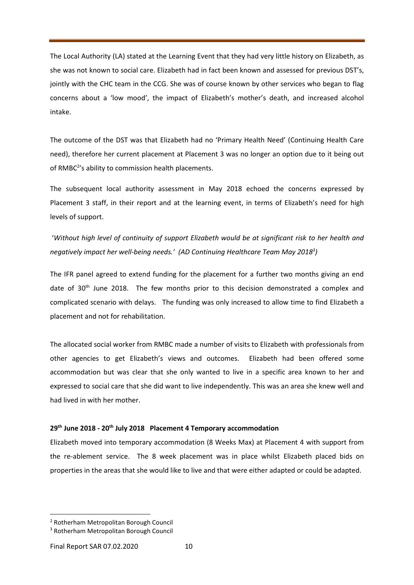The Local Authority (LA) stated at the Learning Event that they had very little history on Elizabeth, as she was not known to social care. Elizabeth had in fact been known and assessed for previous DST's, jointly with the CHC team in the CCG. She was of course known by other services who began to flag concerns about a 'low mood', the impact of Elizabeth's mother's death, and increased alcohol intake.

The outcome of the DST was that Elizabeth had no 'Primary Health Need' (Continuing Health Care need), therefore her current placement at Placement 3 was no longer an option due to it being out of RMBC<sup>2</sup>'s ability to commission health placements.

The subsequent local authority assessment in May 2018 echoed the concerns expressed by Placement 3 staff, in their report and at the learning event, in terms of Elizabeth's need for high levels of support.

'*Without high level of continuity of support Elizabeth would be at significant risk to her health and negatively impact her well-being needs.' (AD Continuing Healthcare Team May 2018<sup>3</sup> )* 

The IFR panel agreed to extend funding for the placement for a further two months giving an end date of 30<sup>th</sup> June 2018. The few months prior to this decision demonstrated a complex and complicated scenario with delays. The funding was only increased to allow time to find Elizabeth a placement and not for rehabilitation.

The allocated social worker from RMBC made a number of visits to Elizabeth with professionals from other agencies to get Elizabeth's views and outcomes. Elizabeth had been offered some accommodation but was clear that she only wanted to live in a specific area known to her and expressed to social care that she did want to live independently. This was an area she knew well and had lived in with her mother.

#### **29th June 2018 - 20th July 2018 Placement 4 Temporary accommodation**

Elizabeth moved into temporary accommodation (8 Weeks Max) at Placement 4 with support from the re-ablement service. The 8 week placement was in place whilst Elizabeth placed bids on properties in the areas that she would like to live and that were either adapted or could be adapted.

<sup>2</sup> Rotherham Metropolitan Borough Council

<sup>3</sup> Rotherham Metropolitan Borough Council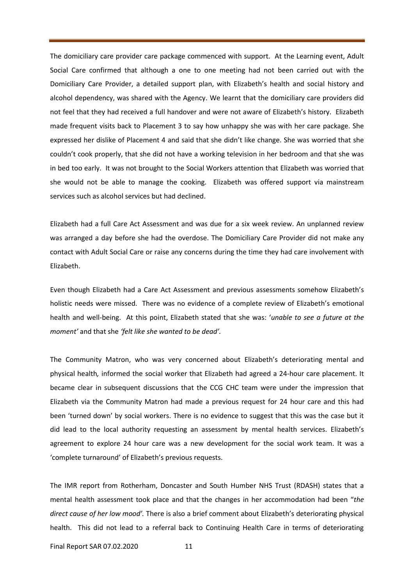The domiciliary care provider care package commenced with support. At the Learning event, Adult Social Care confirmed that although a one to one meeting had not been carried out with the Domiciliary Care Provider, a detailed support plan, with Elizabeth's health and social history and alcohol dependency, was shared with the Agency. We learnt that the domiciliary care providers did not feel that they had received a full handover and were not aware of Elizabeth's history. Elizabeth made frequent visits back to Placement 3 to say how unhappy she was with her care package. She expressed her dislike of Placement 4 and said that she didn't like change. She was worried that she couldn't cook properly, that she did not have a working television in her bedroom and that she was in bed too early. It was not brought to the Social Workers attention that Elizabeth was worried that she would not be able to manage the cooking. Elizabeth was offered support via mainstream services such as alcohol services but had declined.

Elizabeth had a full Care Act Assessment and was due for a six week review. An unplanned review was arranged a day before she had the overdose. The Domiciliary Care Provider did not make any contact with Adult Social Care or raise any concerns during the time they had care involvement with Elizabeth.

Even though Elizabeth had a Care Act Assessment and previous assessments somehow Elizabeth's holistic needs were missed. There was no evidence of a complete review of Elizabeth's emotional health and well-being. At this point, Elizabeth stated that she was: '*unable to see a future at the moment'* and that she *'felt like she wanted to be dead'.*

The Community Matron, who was very concerned about Elizabeth's deteriorating mental and physical health*,* informed the social worker that Elizabeth had agreed a 24-hour care placement. It became clear in subsequent discussions that the CCG CHC team were under the impression that Elizabeth via the Community Matron had made a previous request for 24 hour care and this had been 'turned down' by social workers. There is no evidence to suggest that this was the case but it did lead to the local authority requesting an assessment by mental health services. Elizabeth's agreement to explore 24 hour care was a new development for the social work team. It was a 'complete turnaround' of Elizabeth's previous requests.

The IMR report from Rotherham, Doncaster and South Humber NHS Trust (RDASH) states that a mental health assessment took place and that the changes in her accommodation had been "*the direct cause of her low mood'.* There is also a brief comment about Elizabeth's deteriorating physical health. This did not lead to a referral back to Continuing Health Care in terms of deteriorating

Final Report SAR 07.02.2020 11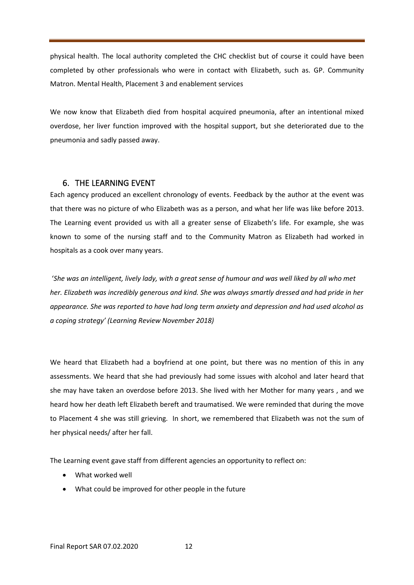physical health. The local authority completed the CHC checklist but of course it could have been completed by other professionals who were in contact with Elizabeth, such as. GP. Community Matron. Mental Health, Placement 3 and enablement services

We now know that Elizabeth died from hospital acquired pneumonia, after an intentional mixed overdose, her liver function improved with the hospital support, but she deteriorated due to the pneumonia and sadly passed away.

# 6. THE LEARNING EVENT

Each agency produced an excellent chronology of events. Feedback by the author at the event was that there was no picture of who Elizabeth was as a person, and what her life was like before 2013. The Learning event provided us with all a greater sense of Elizabeth's life. For example, she was known to some of the nursing staff and to the Community Matron as Elizabeth had worked in hospitals as a cook over many years.

'*She was an intelligent, lively lady, with a great sense of humour and was well liked by all who met her. Elizabeth was incredibly generous and kind. She was always smartly dressed and had pride in her appearance. She was reported to have had long term anxiety and depression and had used alcohol as a coping strategy' (Learning Review November 2018)*

We heard that Elizabeth had a boyfriend at one point, but there was no mention of this in any assessments. We heard that she had previously had some issues with alcohol and later heard that she may have taken an overdose before 2013. She lived with her Mother for many years , and we heard how her death left Elizabeth bereft and traumatised. We were reminded that during the move to Placement 4 she was still grieving. In short, we remembered that Elizabeth was not the sum of her physical needs/ after her fall.

The Learning event gave staff from different agencies an opportunity to reflect on:

- What worked well
- What could be improved for other people in the future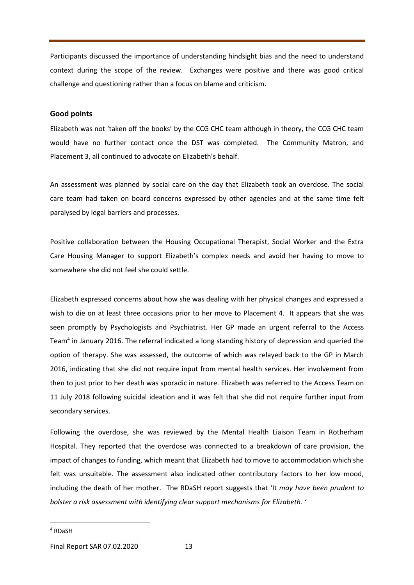Participants discussed the importance of understanding hindsight bias and the need to understand context during the scope of the review. Exchanges were positive and there was good critical challenge and questioning rather than a focus on blame and criticism.

#### **Good points**

Elizabeth was not 'taken off the books' by the CCG CHC team although in theory, the CCG CHC team would have no further contact once the DST was completed. The Community Matron, and Placement 3, all continued to advocate on Elizabeth's behalf.

An assessment was planned by social care on the day that Elizabeth took an overdose. The social care team had taken on board concerns expressed by other agencies and at the same time felt paralysed by legal barriers and processes.

Positive collaboration between the Housing Occupational Therapist, Social Worker and the Extra Care Housing Manager to support Elizabeth's complex needs and avoid her having to move to somewhere she did not feel she could settle.

Elizabeth expressed concerns about how she was dealing with her physical changes and expressed a wish to die on at least three occasions prior to her move to Placement 4. It appears that she was seen promptly by Psychologists and Psychiatrist. Her GP made an urgent referral to the Access Team<sup>4</sup> in January 2016. The referral indicated a long standing history of depression and queried the option of therapy. She was assessed, the outcome of which was relayed back to the GP in March 2016, indicating that she did not require input from mental health services. Her involvement from then to just prior to her death was sporadic in nature. Elizabeth was referred to the Access Team on 11 July 2018 following suicidal ideation and it was felt that she did not require further input from secondary services.

Following the overdose, she was reviewed by the Mental Health Liaison Team in Rotherham Hospital. They reported that the overdose was connected to a breakdown of care provision, the impact of changes to funding, which meant that Elizabeth had to move to accommodation which she felt was unsuitable. The assessment also indicated other contributory factors to her low mood, including the death of her mother. The RDaSH report suggests that 'It *may have been prudent to bolster a risk assessment with identifying clear support mechanisms for Elizabeth. '*

<sup>4</sup> RDaSH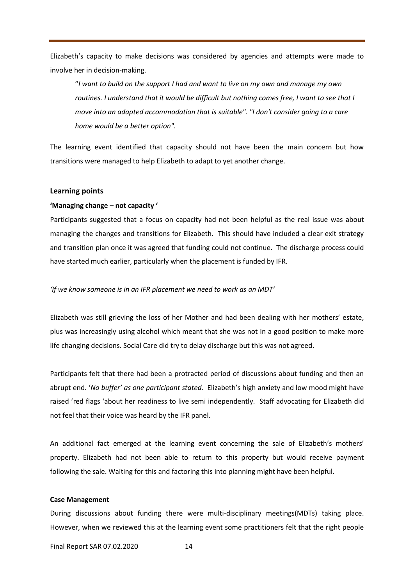Elizabeth's capacity to make decisions was considered by agencies and attempts were made to involve her in decision-making.

"*I want to build on the support I had and want to live on my own and manage my own routines. I understand that it would be difficult but nothing comes free, I want to see that I move into an adapted accommodation that is suitable". "I don't consider going to a care home would be a better option".*

The learning event identified that capacity should not have been the main concern but how transitions were managed to help Elizabeth to adapt to yet another change.

#### **Learning points**

#### **'Managing change – not capacity '**

Participants suggested that a focus on capacity had not been helpful as the real issue was about managing the changes and transitions for Elizabeth. This should have included a clear exit strategy and transition plan once it was agreed that funding could not continue. The discharge process could have started much earlier, particularly when the placement is funded by IFR.

*'If we know someone is in an IFR placement we need to work as an MDT'*

Elizabeth was still grieving the loss of her Mother and had been dealing with her mothers' estate, plus was increasingly using alcohol which meant that she was not in a good position to make more life changing decisions. Social Care did try to delay discharge but this was not agreed.

Participants felt that there had been a protracted period of discussions about funding and then an abrupt end. '*No buffer' as one participant stated.* Elizabeth's high anxiety and low mood might have raised 'red flags 'about her readiness to live semi independently. Staff advocating for Elizabeth did not feel that their voice was heard by the IFR panel.

An additional fact emerged at the learning event concerning the sale of Elizabeth's mothers' property. Elizabeth had not been able to return to this property but would receive payment following the sale. Waiting for this and factoring this into planning might have been helpful.

#### **Case Management**

During discussions about funding there were multi-disciplinary meetings(MDTs) taking place. However, when we reviewed this at the learning event some practitioners felt that the right people

Final Report SAR 07.02.2020 14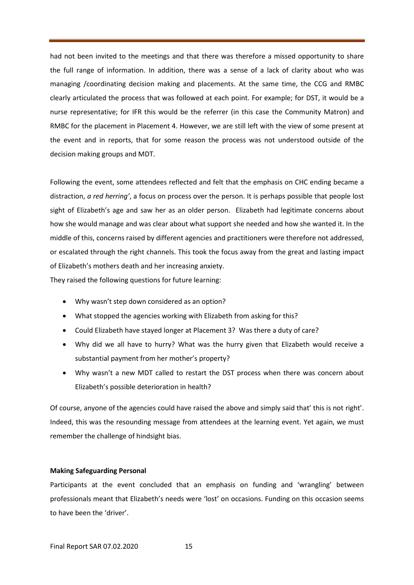had not been invited to the meetings and that there was therefore a missed opportunity to share the full range of information. In addition, there was a sense of a lack of clarity about who was managing /coordinating decision making and placements. At the same time, the CCG and RMBC clearly articulated the process that was followed at each point. For example; for DST, it would be a nurse representative; for IFR this would be the referrer (in this case the Community Matron) and RMBC for the placement in Placement 4. However, we are still left with the view of some present at the event and in reports, that for some reason the process was not understood outside of the decision making groups and MDT.

Following the event, some attendees reflected and felt that the emphasis on CHC ending became a distraction, *a red herring'*, a focus on process over the person. It is perhaps possible that people lost sight of Elizabeth's age and saw her as an older person. Elizabeth had legitimate concerns about how she would manage and was clear about what support she needed and how she wanted it. In the middle of this, concerns raised by different agencies and practitioners were therefore not addressed, or escalated through the right channels. This took the focus away from the great and lasting impact of Elizabeth's mothers death and her increasing anxiety.

They raised the following questions for future learning:

- Why wasn't step down considered as an option?
- What stopped the agencies working with Elizabeth from asking for this?
- Could Elizabeth have stayed longer at Placement 3? Was there a duty of care?
- Why did we all have to hurry? What was the hurry given that Elizabeth would receive a substantial payment from her mother's property?
- Why wasn't a new MDT called to restart the DST process when there was concern about Elizabeth's possible deterioration in health?

Of course, anyone of the agencies could have raised the above and simply said that' this is not right'. Indeed, this was the resounding message from attendees at the learning event. Yet again, we must remember the challenge of hindsight bias.

#### **Making Safeguarding Personal**

Participants at the event concluded that an emphasis on funding and 'wrangling' between professionals meant that Elizabeth's needs were 'lost' on occasions. Funding on this occasion seems to have been the 'driver'.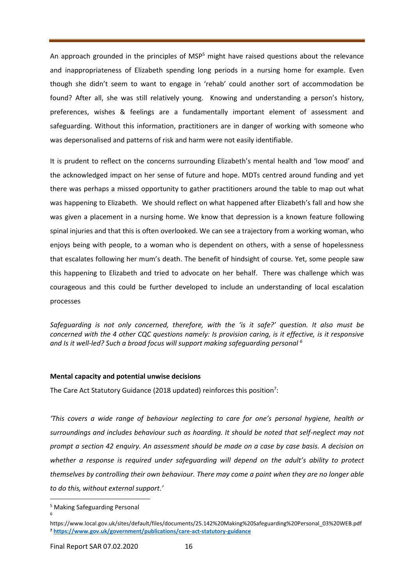An approach grounded in the principles of  $MSP<sup>5</sup>$  might have raised questions about the relevance and inappropriateness of Elizabeth spending long periods in a nursing home for example. Even though she didn't seem to want to engage in 'rehab' could another sort of accommodation be found? After all, she was still relatively young. Knowing and understanding a person's history, preferences, wishes & feelings are a fundamentally important element of assessment and safeguarding. Without this information, practitioners are in danger of working with someone who was depersonalised and patterns of risk and harm were not easily identifiable.

It is prudent to reflect on the concerns surrounding Elizabeth's mental health and 'low mood' and the acknowledged impact on her sense of future and hope. MDTs centred around funding and yet there was perhaps a missed opportunity to gather practitioners around the table to map out what was happening to Elizabeth. We should reflect on what happened after Elizabeth's fall and how she was given a placement in a nursing home. We know that depression is a known feature following spinal injuries and that this is often overlooked. We can see a trajectory from a working woman, who enjoys being with people, to a woman who is dependent on others, with a sense of hopelessness that escalates following her mum's death. The benefit of hindsight of course. Yet, some people saw this happening to Elizabeth and tried to advocate on her behalf. There was challenge which was courageous and this could be further developed to include an understanding of local escalation processes

*Safeguarding is not only concerned, therefore, with the 'is it safe?' question. It also must be concerned with the 4 other CQC questions namely: Is provision caring, is it effective, is it responsive* and Is it well-led? Such a broad focus will support making safeguarding personal <sup>6</sup>

#### **Mental capacity and potential unwise decisions**

The Care Act Statutory Guidance (2018 updated) reinforces this position<sup>7</sup>:

*'This covers a wide range of behaviour neglecting to care for one's personal hygiene, health or surroundings and includes behaviour such as hoarding. It should be noted that self-neglect may not prompt a section 42 enquiry. An assessment should be made on a case by case basis. A decision on whether a response is required under safeguarding will depend on the adult's ability to protect themselves by controlling their own behaviour. There may come a point when they are no longer able to do this, without external support.'*

6

<sup>5</sup> Making Safeguarding Personal

https://www.local.gov.uk/sites/default/files/documents/25.142%20Making%20Safeguarding%20Personal\_03%20WEB.pdf **<sup>7</sup> <https://www.gov.uk/government/publications/care-act-statutory-guidance>**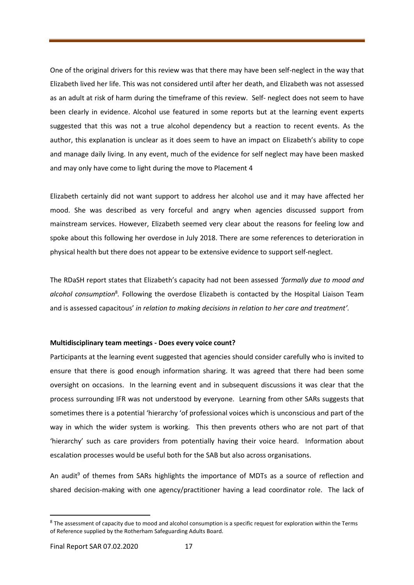One of the original drivers for this review was that there may have been self-neglect in the way that Elizabeth lived her life. This was not considered until after her death, and Elizabeth was not assessed as an adult at risk of harm during the timeframe of this review. Self- neglect does not seem to have been clearly in evidence. Alcohol use featured in some reports but at the learning event experts suggested that this was not a true alcohol dependency but a reaction to recent events. As the author, this explanation is unclear as it does seem to have an impact on Elizabeth's ability to cope and manage daily living. In any event, much of the evidence for self neglect may have been masked and may only have come to light during the move to Placement 4

Elizabeth certainly did not want support to address her alcohol use and it may have affected her mood. She was described as very forceful and angry when agencies discussed support from mainstream services. However, Elizabeth seemed very clear about the reasons for feeling low and spoke about this following her overdose in July 2018. There are some references to deterioration in physical health but there does not appear to be extensive evidence to support self-neglect.

The RDaSH report states that Elizabeth's capacity had not been assessed *'formally due to mood and*  alcohol consumption<sup>8</sup>. Following the overdose Elizabeth is contacted by the Hospital Liaison Team and is assessed capacitous' *in relation to making decisions in relation to her care and treatment'.*

#### **Multidisciplinary team meetings - Does every voice count?**

Participants at the learning event suggested that agencies should consider carefully who is invited to ensure that there is good enough information sharing. It was agreed that there had been some oversight on occasions. In the learning event and in subsequent discussions it was clear that the process surrounding IFR was not understood by everyone. Learning from other SARs suggests that sometimes there is a potential 'hierarchy 'of professional voices which is unconscious and part of the way in which the wider system is working. This then prevents others who are not part of that 'hierarchy' such as care providers from potentially having their voice heard. Information about escalation processes would be useful both for the SAB but also across organisations.

An audit<sup>9</sup> of themes from SARs highlights the importance of MDTs as a source of reflection and shared decision-making with one agency/practitioner having a lead coordinator role. The lack of

 $8$  The assessment of capacity due to mood and alcohol consumption is a specific request for exploration within the Terms of Reference supplied by the Rotherham Safeguarding Adults Board.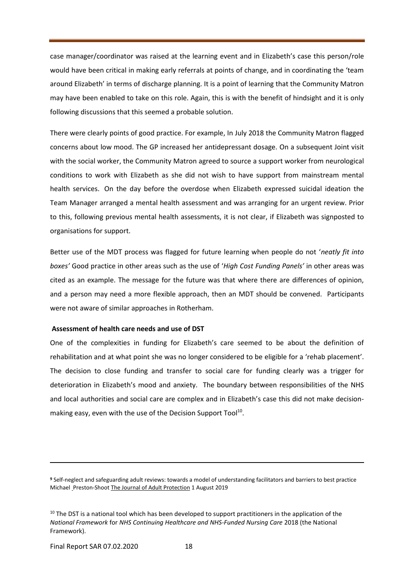case manager/coordinator was raised at the learning event and in Elizabeth's case this person/role would have been critical in making early referrals at points of change, and in coordinating the 'team around Elizabeth' in terms of discharge planning. It is a point of learning that the Community Matron may have been enabled to take on this role. Again, this is with the benefit of hindsight and it is only following discussions that this seemed a probable solution.

There were clearly points of good practice. For example, In July 2018 the Community Matron flagged concerns about low mood. The GP increased her antidepressant dosage. On a subsequent Joint visit with the social worker, the Community Matron agreed to source a support worker from neurological conditions to work with Elizabeth as she did not wish to have support from mainstream mental health services. On the day before the overdose when Elizabeth expressed suicidal ideation the Team Manager arranged a mental health assessment and was arranging for an urgent review. Prior to this, following previous mental health assessments, it is not clear, if Elizabeth was signposted to organisations for support.

Better use of the MDT process was flagged for future learning when people do not '*neatly fit into boxes'* Good practice in other areas such as the use of '*High Cost Funding Panels'* in other areas was cited as an example. The message for the future was that where there are differences of opinion, and a person may need a more flexible approach, then an MDT should be convened. Participants were not aware of similar approaches in Rotherham.

#### **Assessment of health care needs and use of DST**

One of the complexities in funding for Elizabeth's care seemed to be about the definition of rehabilitation and at what point she was no longer considered to be eligible for a 'rehab placement'. The decision to close funding and transfer to social care for funding clearly was a trigger for deterioration in Elizabeth's mood and anxiety. The boundary between responsibilities of the NHS and local authorities and social care are complex and in Elizabeth's case this did not make decisionmaking easy, even with the use of the Decision Support Tool<sup>10</sup>.

**<sup>9</sup>** Self-neglect and safeguarding adult reviews: towards a model of understanding facilitators and barriers to best practice Michael [Preston-Shoot](https://www.emerald.com/insight/search?q=Michael%20Preston-Shoot) [The Journal of Adult Protection](https://www.emerald.com/insight/publication/issn/1466-8203) 1 August 2019

<sup>&</sup>lt;sup>10</sup> The DST is a national tool which has been developed to support practitioners in the application of the *National Framework* for *NHS Continuing Healthcare and NHS-Funded Nursing Care* 2018 (the National Framework).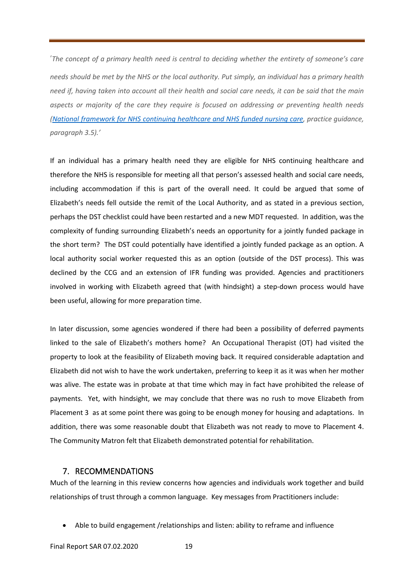'*The concept of a primary health need is central to deciding whether the entirety of someone's care needs should be met by the NHS or the local authority. Put simply, an individual has a primary health need if, having taken into account all their health and social care needs, it can be said that the main aspects or majority of the care they require is focused on addressing or preventing health needs (National [framework](https://www.gov.uk/government/publications/national-framework-for-nhs-continuing-healthcare-and-nhs-funded-nursing-care) for NHS continuing healthcare and NHS funded nursing care, practice guidance, paragraph 3.5).'*

If an individual has a primary health need they are eligible for NHS continuing healthcare and therefore the NHS is responsible for meeting all that person's assessed health and social care needs, including accommodation if this is part of the overall need. It could be argued that some of Elizabeth's needs fell outside the remit of the Local Authority, and as stated in a previous section, perhaps the DST checklist could have been restarted and a new MDT requested. In addition, was the complexity of funding surrounding Elizabeth's needs an opportunity for a jointly funded package in the short term? The DST could potentially have identified a jointly funded package as an option. A local authority social worker requested this as an option (outside of the DST process). This was declined by the CCG and an extension of IFR funding was provided. Agencies and practitioners involved in working with Elizabeth agreed that (with hindsight) a step-down process would have been useful, allowing for more preparation time.

In later discussion, some agencies wondered if there had been a possibility of deferred payments linked to the sale of Elizabeth's mothers home? An Occupational Therapist (OT) had visited the property to look at the feasibility of Elizabeth moving back. It required considerable adaptation and Elizabeth did not wish to have the work undertaken, preferring to keep it as it was when her mother was alive. The estate was in probate at that time which may in fact have prohibited the release of payments. Yet, with hindsight, we may conclude that there was no rush to move Elizabeth from Placement 3 as at some point there was going to be enough money for housing and adaptations. In addition, there was some reasonable doubt that Elizabeth was not ready to move to Placement 4. The Community Matron felt that Elizabeth demonstrated potential for rehabilitation.

# 7. RECOMMENDATIONS

Much of the learning in this review concerns how agencies and individuals work together and build relationships of trust through a common language. Key messages from Practitioners include:

• Able to build engagement /relationships and listen: ability to reframe and influence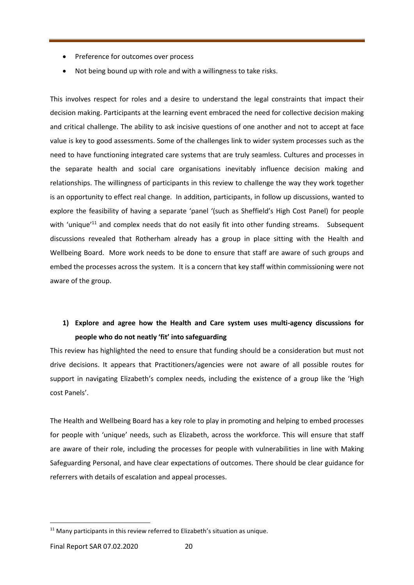- Preference for outcomes over process
- Not being bound up with role and with a willingness to take risks.

This involves respect for roles and a desire to understand the legal constraints that impact their decision making. Participants at the learning event embraced the need for collective decision making and critical challenge. The ability to ask incisive questions of one another and not to accept at face value is key to good assessments. Some of the challenges link to wider system processes such as the need to have functioning integrated care systems that are truly seamless. Cultures and processes in the separate health and social care organisations inevitably influence decision making and relationships. The willingness of participants in this review to challenge the way they work together is an opportunity to effect real change. In addition, participants, in follow up discussions, wanted to explore the feasibility of having a separate 'panel '(such as Sheffield's High Cost Panel) for people with 'unique'<sup>11</sup> and complex needs that do not easily fit into other funding streams. Subsequent discussions revealed that Rotherham already has a group in place sitting with the Health and Wellbeing Board. More work needs to be done to ensure that staff are aware of such groups and embed the processes across the system. It is a concern that key staff within commissioning were not aware of the group.

# **1) Explore and agree how the Health and Care system uses multi-agency discussions for people who do not neatly 'fit' into safeguarding**

This review has highlighted the need to ensure that funding should be a consideration but must not drive decisions. It appears that Practitioners/agencies were not aware of all possible routes for support in navigating Elizabeth's complex needs, including the existence of a group like the 'High cost Panels'.

The Health and Wellbeing Board has a key role to play in promoting and helping to embed processes for people with 'unique' needs, such as Elizabeth, across the workforce. This will ensure that staff are aware of their role, including the processes for people with vulnerabilities in line with Making Safeguarding Personal, and have clear expectations of outcomes. There should be clear guidance for referrers with details of escalation and appeal processes.

 $11$  Many participants in this review referred to Elizabeth's situation as unique.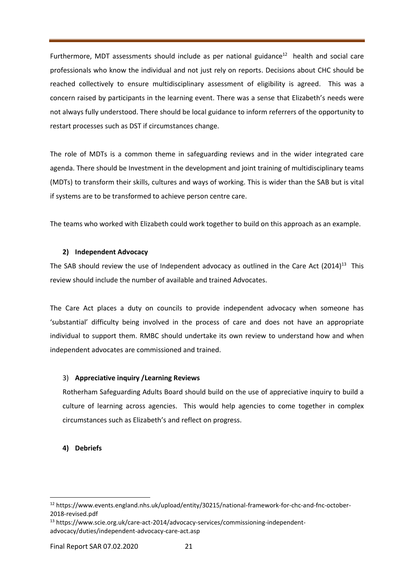Furthermore, MDT assessments should include as per national guidance $^{12}$  health and social care professionals who know the individual and not just rely on reports. Decisions about CHC should be reached collectively to ensure multidisciplinary assessment of eligibility is agreed. This was a concern raised by participants in the learning event. There was a sense that Elizabeth's needs were not always fully understood. There should be local guidance to inform referrers of the opportunity to restart processes such as DST if circumstances change.

The role of MDTs is a common theme in safeguarding reviews and in the wider integrated care agenda. There should be Investment in the development and joint training of multidisciplinary teams (MDTs) to transform their skills, cultures and ways of working. This is wider than the SAB but is vital if systems are to be transformed to achieve person centre care.

The teams who worked with Elizabeth could work together to build on this approach as an example.

### **2) Independent Advocacy**

The SAB should review the use of Independent advocacy as outlined in the Care Act  $(2014)^{13}$  This review should include the number of available and trained Advocates.

The Care Act places a duty on councils to provide independent advocacy when someone has 'substantial' difficulty being involved in the process of care and does not have an appropriate individual to support them. RMBC should undertake its own review to understand how and when independent advocates are commissioned and trained.

### 3) **Appreciative inquiry /Learning Reviews**

Rotherham Safeguarding Adults Board should build on the use of appreciative inquiry to build a culture of learning across agencies. This would help agencies to come together in complex circumstances such as Elizabeth's and reflect on progress.

### **4) Debriefs**

<sup>12</sup> https://www.events.england.nhs.uk/upload/entity/30215/national-framework-for-chc-and-fnc-october-2018-revised.pdf

<sup>13</sup> https://www.scie.org.uk/care-act-2014/advocacy-services/commissioning-independentadvocacy/duties/independent-advocacy-care-act.asp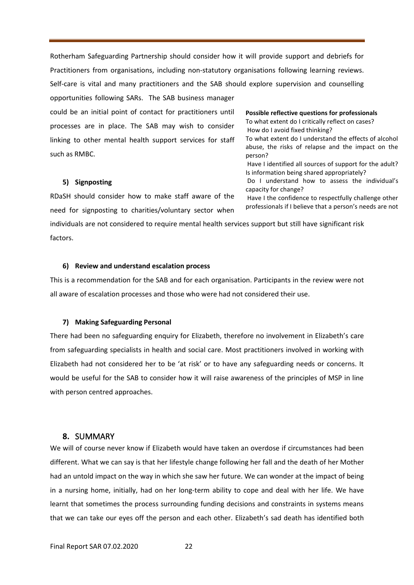Rotherham Safeguarding Partnership should consider how it will provide support and debriefs for Practitioners from organisations, including non-statutory organisations following learning reviews. Self-care is vital and many practitioners and the SAB should explore supervision and counselling opportunities following SARs. The SAB business manager could be an initial point of contact for practitioners until processes are in place. The SAB may wish to consider linking to other mental health support services for staff such as RMBC. **Possible reflective questions for professionals**  To what extent do I critically reflect on cases? How do I avoid fixed thinking?

#### **5) Signposting**

RDaSH should consider how to make staff aware of the need for signposting to charities/voluntary sector when

individuals are not considered to require mental health services support but still have significant risk factors.

#### **6) Review and understand escalation process**

This is a recommendation for the SAB and for each organisation. Participants in the review were not all aware of escalation processes and those who were had not considered their use.

#### **7) Making Safeguarding Personal**

There had been no safeguarding enquiry for Elizabeth, therefore no involvement in Elizabeth's care from safeguarding specialists in health and social care. Most practitioners involved in working with Elizabeth had not considered her to be 'at risk' or to have any safeguarding needs or concerns. It would be useful for the SAB to consider how it will raise awareness of the principles of MSP in line with person centred approaches.

#### **8.** SUMMARY

We will of course never know if Elizabeth would have taken an overdose if circumstances had been different. What we can say is that her lifestyle change following her fall and the death of her Mother had an untold impact on the way in which she saw her future. We can wonder at the impact of being in a nursing home, initially, had on her long-term ability to cope and deal with her life. We have learnt that sometimes the process surrounding funding decisions and constraints in systems means that we can take our eyes off the person and each other. Elizabeth's sad death has identified both

To what extent do I understand the effects of alcohol abuse, the risks of relapse and the impact on the person? Have I identified all sources of support for the adult? Is information being shared appropriately? Do I understand how to assess the individual's capacity for change? Have I the confidence to respectfully challenge other professionals if I believe that a person's needs are not